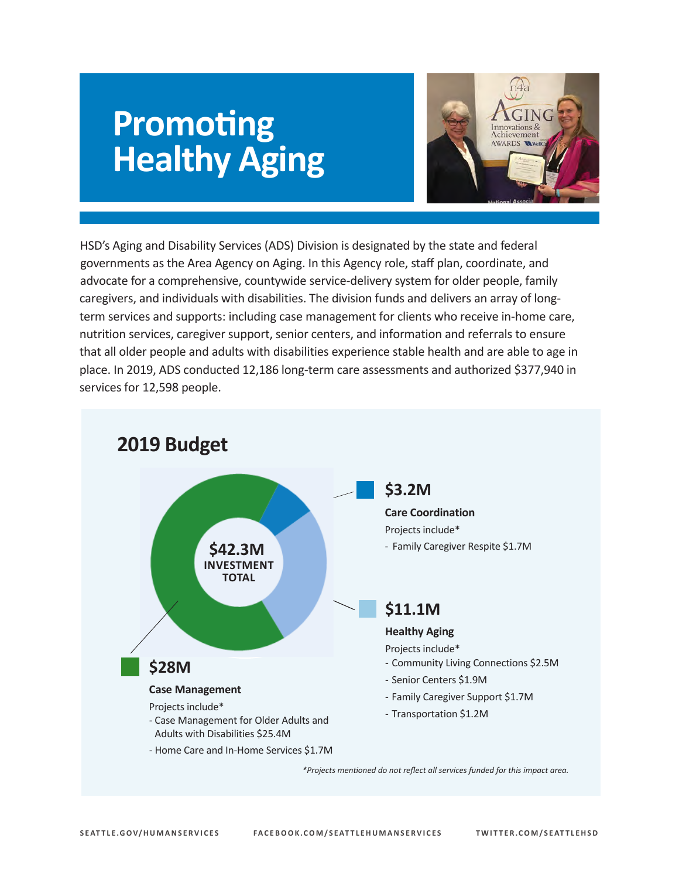# **Promoting Healthy Aging**



 governments as the Area Agency on Aging. In this Agency role, staff plan, coordinate, and advocate for a comprehensive, countywide service-delivery system for older people, family place. In 2019, ADS conducted 12,186 long-term care assessments and authorized \$377,940 in services for 12,598 people. HSD's Aging and Disability Services (ADS) Division is designated by the state and federal caregivers, and individuals with disabilities. The division funds and delivers an array of longterm services and supports: including case management for clients who receive in-home care, nutrition services, caregiver support, senior centers, and information and referrals to ensure that all older people and adults with disabilities experience stable health and are able to age in